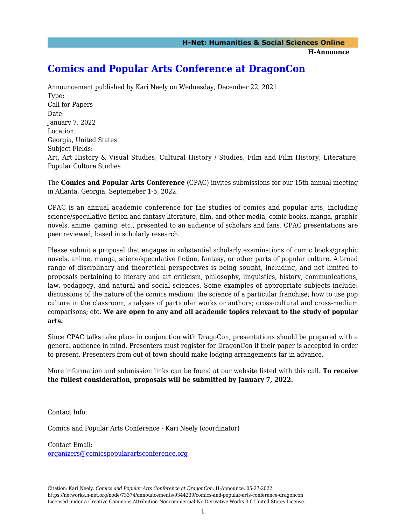**H-Announce** 

## **[Comics and Popular Arts Conference at DragonCon](https://networks.h-net.org/node/73374/announcements/9344239/comics-and-popular-arts-conference-dragoncon)**

Announcement published by Kari Neely on Wednesday, December 22, 2021 Type: Call for Papers Date: January 7, 2022 Location: Georgia, United States Subject Fields: Art, Art History & Visual Studies, Cultural History / Studies, Film and Film History, Literature, Popular Culture Studies

The **Comics and Popular Arts Conference** (CPAC) invites submissions for our 15th annual meeting in Atlanta, Georgia, Septemeber 1-5, 2022.

CPAC is an annual academic conference for the studies of comics and popular arts, including science/speculative fiction and fantasy literature, film, and other media, comic books, manga, graphic novels, anime, gaming, etc., presented to an audience of scholars and fans. CPAC presentations are peer reviewed, based in scholarly research.

Please submit a proposal that engages in substantial scholarly examinations of comic books/graphic novels, anime, manga, sciene/speculative fiction, fantasy, or other parts of popular culture. A broad range of disciplinary and theoretical perspectives is being sought, including, and not limited to proposals pertaining to literary and art criticism, philosophy, linguistics, history, communications, law, pedagogy, and natural and social sciences. Some examples of appropriate subjects include: discussions of the nature of the comics medium; the science of a particular franchise; how to use pop culture in the classroom; analyses of particular works or authors; cross-cultural and cross-medium comparisons; etc. **We are open to any and all academic topics relevant to the study of popular arts.**

Since CPAC talks take place in conjunction with DragoCon, presentations should be prepared with a general audience in mind. Presenters must register for DragonCon if their paper is accepted in order to present. Presenters from out of town should make lodging arrangements far in advance.

More information and submission links can be found at our website listed with this call. **To receive the fullest consideration, proposals will be submitted by January 7, 2022.** 

Contact Info:

Comics and Popular Arts Conference - Kari Neely (coordinator)

Contact Email:

[organizers@comicspopularartsconference.org](mailto:organizers@comicspopularartsconference.org)

Citation: Kari Neely. *Comics and Popular Arts Conference at DragonCon*. H-Announce. 05-27-2022. https://networks.h-net.org/node/73374/announcements/9344239/comics-and-popular-arts-conference-dragoncon Licensed under a Creative Commons Attribution-Noncommercial-No Derivative Works 3.0 United States License.